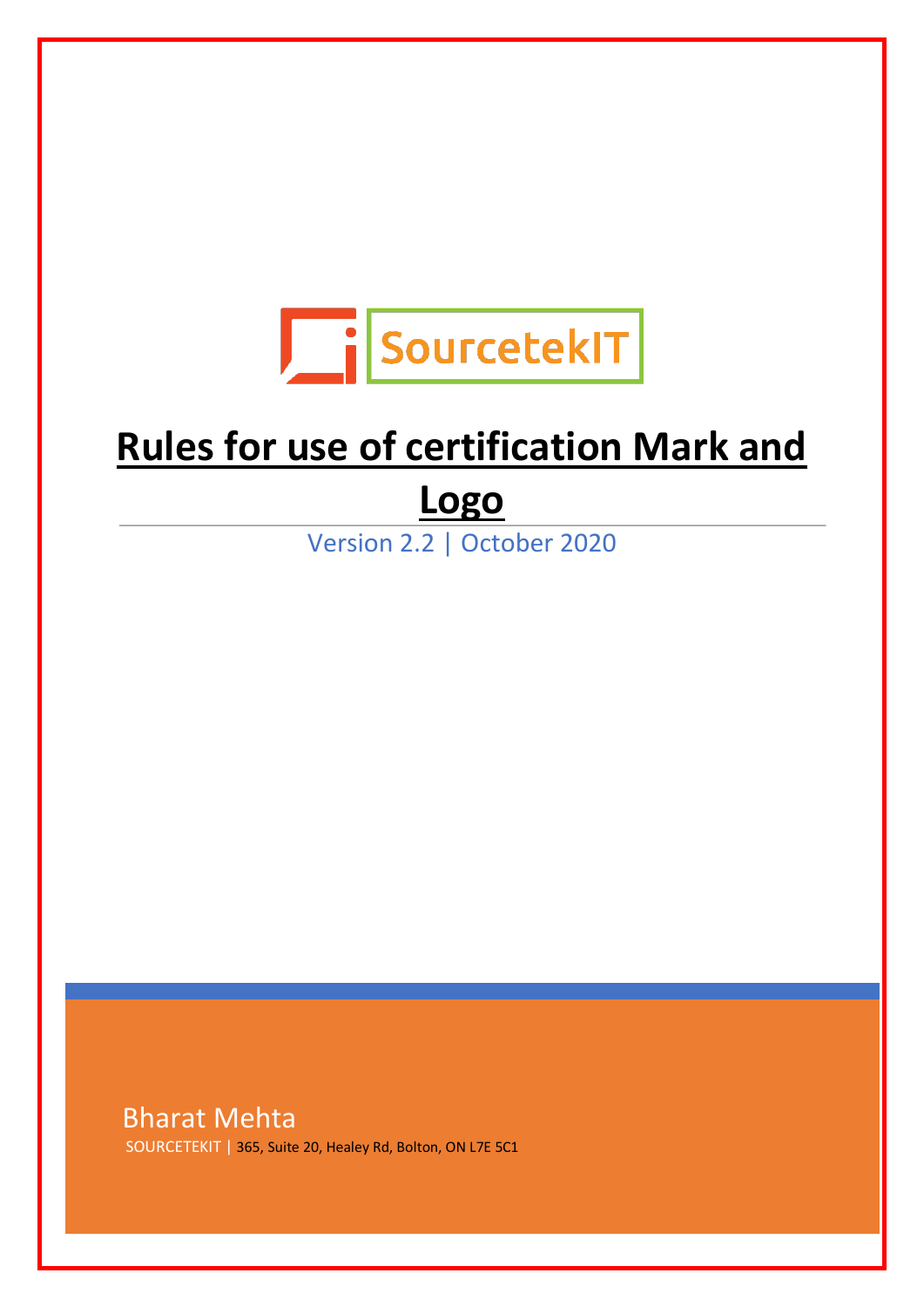

# Ξ **Rules for use of certification Mark and**

## **Logo**

Version 2.2 | October 2020

Bharat Mehta SOURCETEKIT | 365, Suite 20, Healey Rd, Bolton, ON L7E 5C1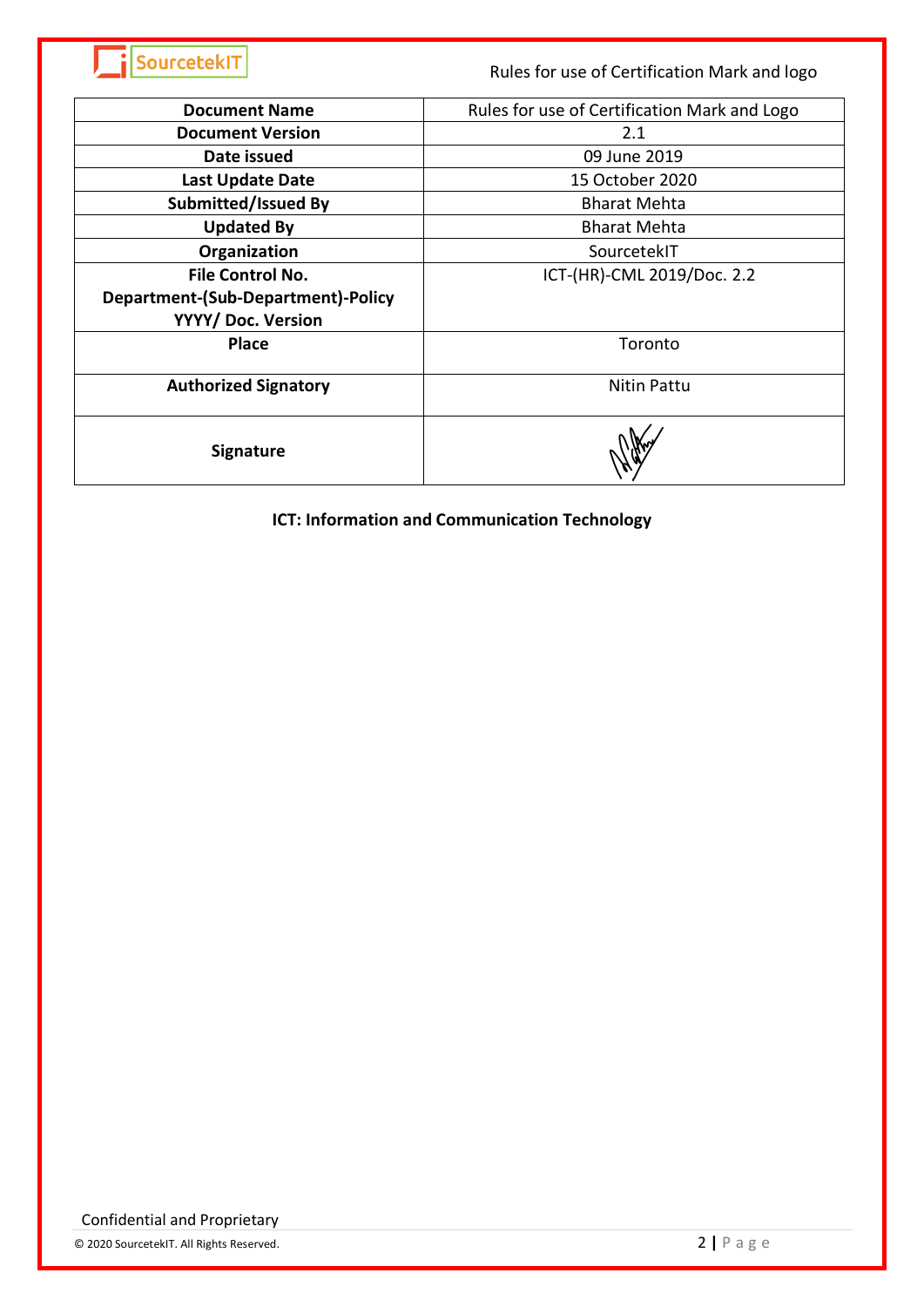| SourcetekIT                                              | Rules for use of Certification Mark and logo |
|----------------------------------------------------------|----------------------------------------------|
| <b>Document Name</b>                                     | Rules for use of Certification Mark and Logo |
| <b>Document Version</b>                                  | 2.1                                          |
| Date issued                                              | 09 June 2019                                 |
| <b>Last Update Date</b>                                  | 15 October 2020                              |
| <b>Submitted/Issued By</b>                               | <b>Bharat Mehta</b>                          |
| <b>Updated By</b>                                        | <b>Bharat Mehta</b>                          |
| Organization                                             | SourcetekIT                                  |
| <b>File Control No.</b>                                  | ICT-(HR)-CML 2019/Doc. 2.2                   |
| Department-(Sub-Department)-Policy<br>YYYY/ Doc. Version |                                              |
| <b>Place</b>                                             | Toronto                                      |
| <b>Authorized Signatory</b>                              | <b>Nitin Pattu</b>                           |
| <b>Signature</b>                                         |                                              |

#### **ICT: Information and Communication Technology**

Confidential and Proprietary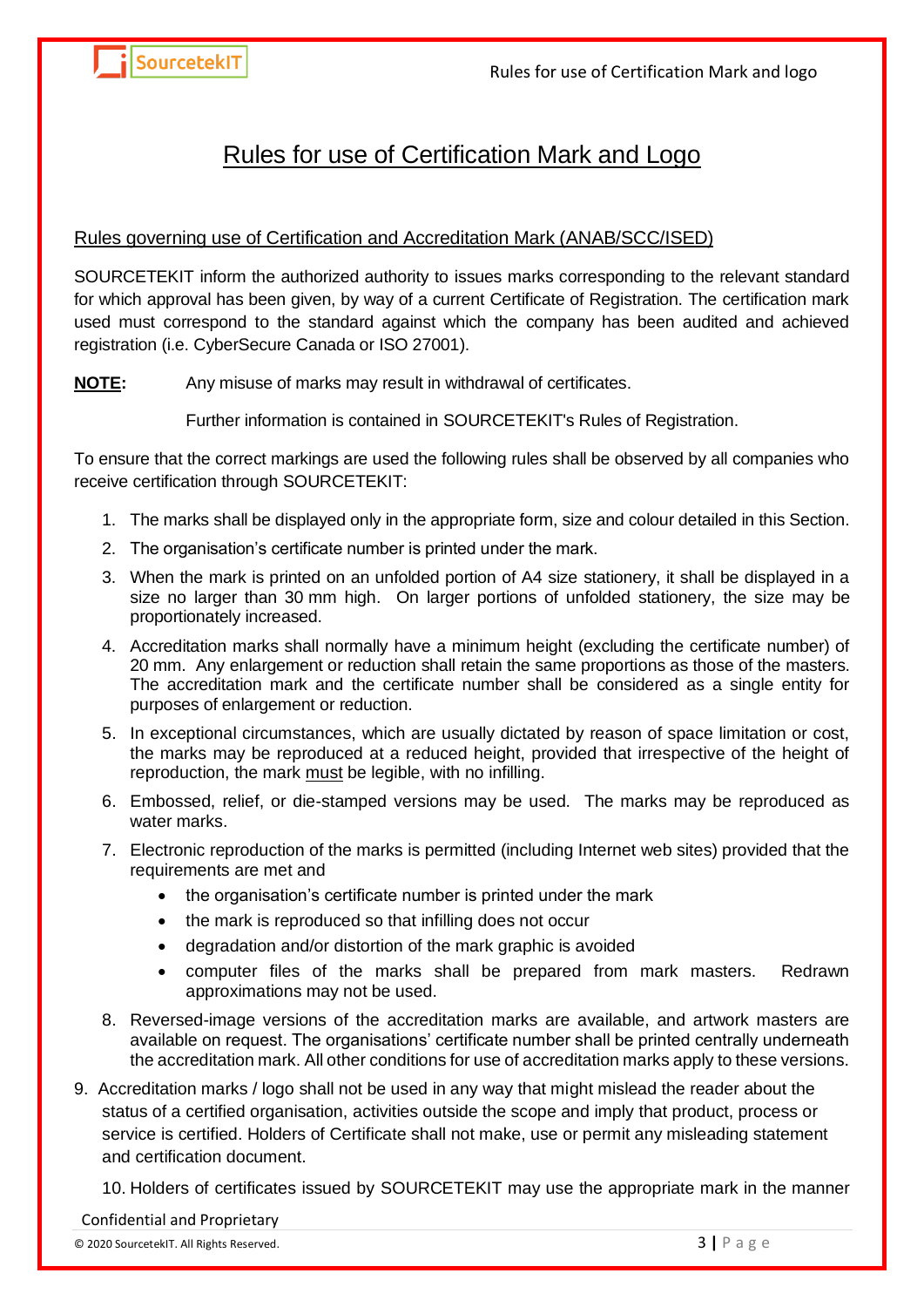### Rules for use of Certification Mark and Logo

#### Rules governing use of Certification and Accreditation Mark (ANAB/SCC/ISED)

SOURCETEKIT inform the authorized authority to issues marks corresponding to the relevant standard for which approval has been given, by way of a current Certificate of Registration. The certification mark used must correspond to the standard against which the company has been audited and achieved registration (i.e. CyberSecure Canada or ISO 27001).

**NOTE:** Any misuse of marks may result in withdrawal of certificates.

Further information is contained in SOURCETEKIT's Rules of Registration.

To ensure that the correct markings are used the following rules shall be observed by all companies who receive certification through SOURCETEKIT:

- 1. The marks shall be displayed only in the appropriate form, size and colour detailed in this Section.
- 2. The organisation's certificate number is printed under the mark.
- 3. When the mark is printed on an unfolded portion of A4 size stationery, it shall be displayed in a size no larger than 30 mm high. On larger portions of unfolded stationery, the size may be proportionately increased.
- 4. Accreditation marks shall normally have a minimum height (excluding the certificate number) of 20 mm. Any enlargement or reduction shall retain the same proportions as those of the masters. The accreditation mark and the certificate number shall be considered as a single entity for purposes of enlargement or reduction.
- 5. In exceptional circumstances, which are usually dictated by reason of space limitation or cost, the marks may be reproduced at a reduced height, provided that irrespective of the height of reproduction, the mark must be legible, with no infilling.
- 6. Embossed, relief, or die-stamped versions may be used. The marks may be reproduced as water marks.
- 7. Electronic reproduction of the marks is permitted (including Internet web sites) provided that the requirements are met and
	- the organisation's certificate number is printed under the mark
	- the mark is reproduced so that infilling does not occur
	- degradation and/or distortion of the mark graphic is avoided
	- computer files of the marks shall be prepared from mark masters. Redrawn approximations may not be used.
- 8. Reversed-image versions of the accreditation marks are available, and artwork masters are available on request. The organisations' certificate number shall be printed centrally underneath the accreditation mark. All other conditions for use of accreditation marks apply to these versions.
- 9. Accreditation marks / logo shall not be used in any way that might mislead the reader about the status of a certified organisation, activities outside the scope and imply that product, process or service is certified. Holders of Certificate shall not make, use or permit any misleading statement and certification document.

10. Holders of certificates issued by SOURCETEKIT may use the appropriate mark in the manner

#### Confidential and Proprietary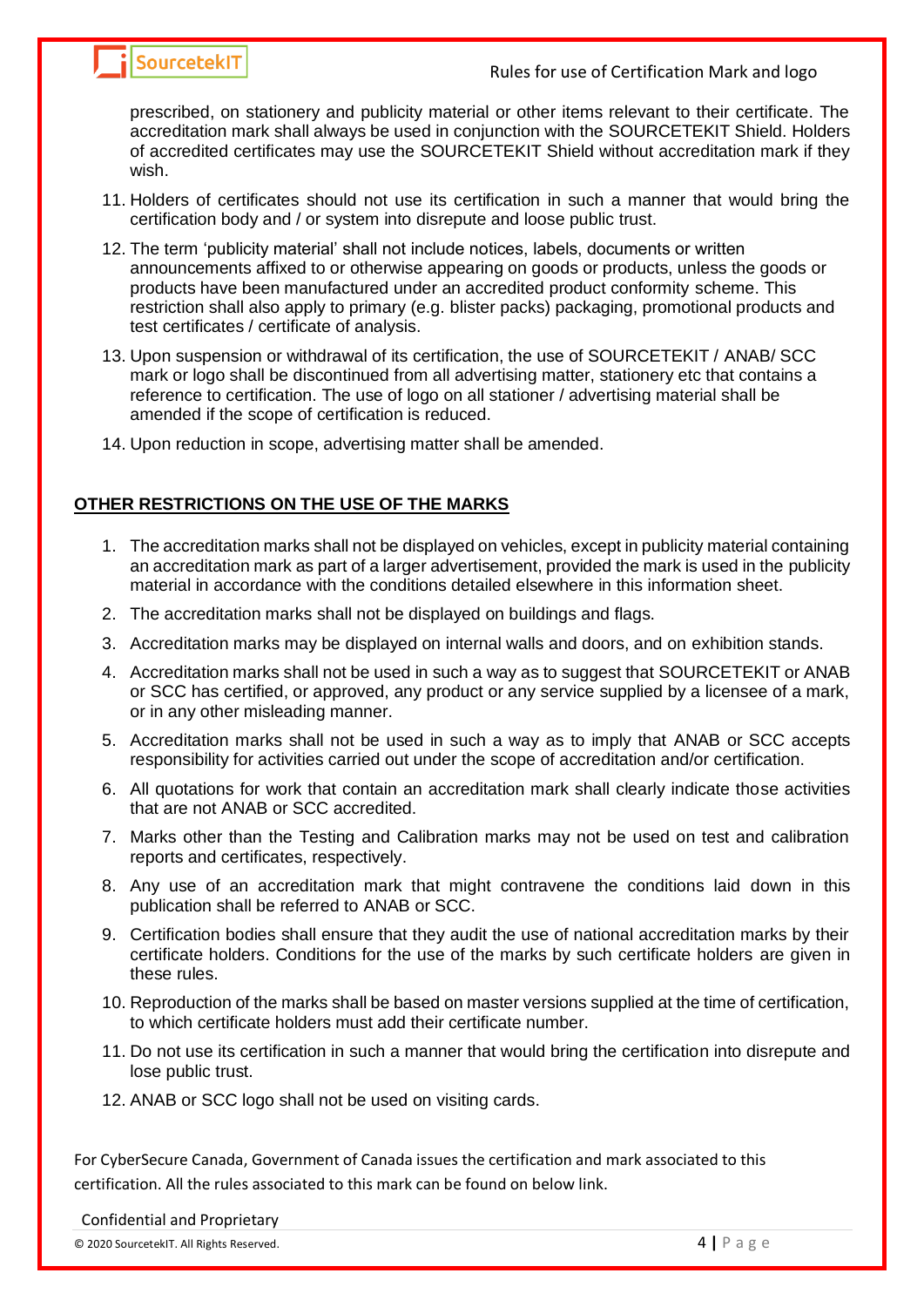## **SourcetekIT** Source EXT EXT Rules for use of Certification Mark and logo

prescribed, on stationery and publicity material or other items relevant to their certificate. The accreditation mark shall always be used in conjunction with the SOURCETEKIT Shield. Holders of accredited certificates may use the SOURCETEKIT Shield without accreditation mark if they wish.

- 11. Holders of certificates should not use its certification in such a manner that would bring the certification body and / or system into disrepute and loose public trust.
- 12. The term 'publicity material' shall not include notices, labels, documents or written announcements affixed to or otherwise appearing on goods or products, unless the goods or products have been manufactured under an accredited product conformity scheme. This restriction shall also apply to primary (e.g. blister packs) packaging, promotional products and test certificates / certificate of analysis.
- 13. Upon suspension or withdrawal of its certification, the use of SOURCETEKIT / ANAB/ SCC mark or logo shall be discontinued from all advertising matter, stationery etc that contains a reference to certification. The use of logo on all stationer / advertising material shall be amended if the scope of certification is reduced.
- 14. Upon reduction in scope, advertising matter shall be amended.

#### **OTHER RESTRICTIONS ON THE USE OF THE MARKS**

- 1. The accreditation marks shall not be displayed on vehicles, except in publicity material containing an accreditation mark as part of a larger advertisement, provided the mark is used in the publicity material in accordance with the conditions detailed elsewhere in this information sheet.
- 2. The accreditation marks shall not be displayed on buildings and flags.
- 3. Accreditation marks may be displayed on internal walls and doors, and on exhibition stands.
- 4. Accreditation marks shall not be used in such a way as to suggest that SOURCETEKIT or ANAB or SCC has certified, or approved, any product or any service supplied by a licensee of a mark, or in any other misleading manner.
- 5. Accreditation marks shall not be used in such a way as to imply that ANAB or SCC accepts responsibility for activities carried out under the scope of accreditation and/or certification.
- 6. All quotations for work that contain an accreditation mark shall clearly indicate those activities that are not ANAB or SCC accredited.
- 7. Marks other than the Testing and Calibration marks may not be used on test and calibration reports and certificates, respectively.
- 8. Any use of an accreditation mark that might contravene the conditions laid down in this publication shall be referred to ANAB or SCC.
- 9. Certification bodies shall ensure that they audit the use of national accreditation marks by their certificate holders. Conditions for the use of the marks by such certificate holders are given in these rules.
- 10. Reproduction of the marks shall be based on master versions supplied at the time of certification, to which certificate holders must add their certificate number.
- 11. Do not use its certification in such a manner that would bring the certification into disrepute and lose public trust.
- 12. ANAB or SCC logo shall not be used on visiting cards.

For CyberSecure Canada, Government of Canada issues the certification and mark associated to this certification. All the rules associated to this mark can be found on below link.

#### Confidential and Proprietary

© 2020 SourcetekIT. All Rights Reserved. 4 **|** P a g e